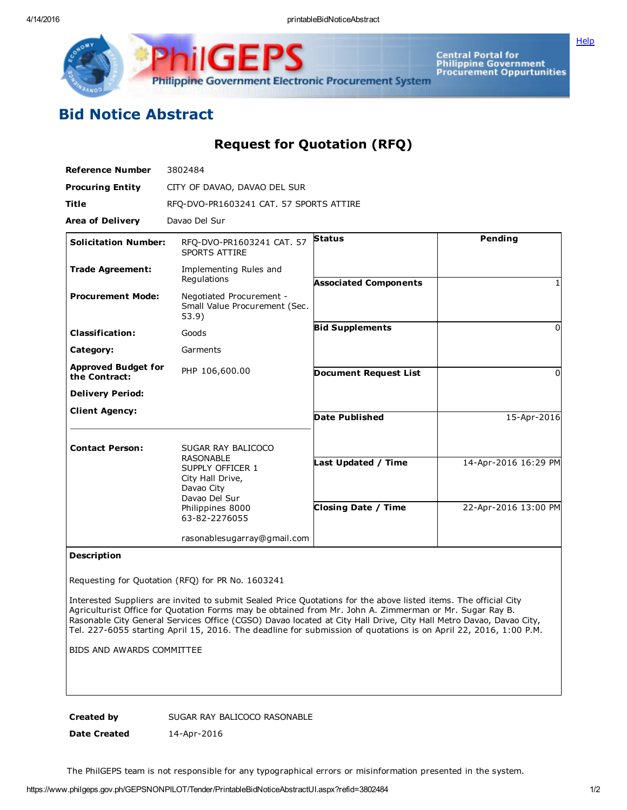Philippine Government Electronic Procurement System

Central Portal for<br>Philippine Government<br>Procurement Oppurtunities

**[Help](javascript:void(window.open()** 

## Bid Notice Abstract

## Request for Quotation (RFQ)

| <b>Reference Number</b>                     | 3802484                                                                                                                                            |                                                   |                                              |
|---------------------------------------------|----------------------------------------------------------------------------------------------------------------------------------------------------|---------------------------------------------------|----------------------------------------------|
| <b>Procuring Entity</b>                     | CITY OF DAVAO, DAVAO DEL SUR                                                                                                                       |                                                   |                                              |
| <b>Title</b>                                | RFQ-DVO-PR1603241 CAT. 57 SPORTS ATTIRE                                                                                                            |                                                   |                                              |
| <b>Area of Delivery</b>                     | Davao Del Sur                                                                                                                                      |                                                   |                                              |
| <b>Solicitation Number:</b>                 | RFQ-DVO-PR1603241 CAT. 57<br><b>SPORTS ATTIRE</b>                                                                                                  | <b>Status</b>                                     | <b>Pending</b>                               |
| <b>Trade Agreement:</b>                     | Implementing Rules and<br>Regulations                                                                                                              | <b>Associated Components</b>                      |                                              |
| <b>Procurement Mode:</b>                    | Negotiated Procurement -<br>Small Value Procurement (Sec.<br>53.9)                                                                                 |                                                   |                                              |
| <b>Classification:</b>                      | Goods                                                                                                                                              | <b>Bid Supplements</b>                            | 0                                            |
| Category:                                   | Garments                                                                                                                                           |                                                   |                                              |
| <b>Approved Budget for</b><br>the Contract: | PHP 106,600.00                                                                                                                                     | <b>Document Request List</b>                      | 0                                            |
| <b>Delivery Period:</b>                     |                                                                                                                                                    |                                                   |                                              |
| <b>Client Agency:</b>                       |                                                                                                                                                    | <b>Date Published</b>                             | 15-Apr-2016                                  |
| <b>Contact Person:</b>                      | SUGAR RAY BALICOCO<br><b>RASONABLE</b><br>SUPPLY OFFICER 1<br>City Hall Drive,<br>Davao City<br>Davao Del Sur<br>Philippines 8000<br>63-82-2276055 | Last Updated / Time<br><b>Closing Date / Time</b> | 14-Apr-2016 16:29 PM<br>22-Apr-2016 13:00 PM |
|                                             | rasonablesugarray@gmail.com                                                                                                                        |                                                   |                                              |

## Description

Requesting for Quotation (RFQ) for PR No. 1603241

Interested Suppliers are invited to submit Sealed Price Quotations for the above listed items. The official City Agriculturist Office for Quotation Forms may be obtained from Mr. John A. Zimmerman or Mr. Sugar Ray B. Rasonable City General Services Office (CGSO) Davao located at City Hall Drive, City Hall Metro Davao, Davao City, Tel. 227-6055 starting April 15, 2016. The deadline for submission of quotations is on April 22, 2016, 1:00 P.M.

BIDS AND AWARDS COMMITTEE

Created by SUGAR RAY BALICOCO RASONABLE

Date Created 14-Apr-2016

The PhilGEPS team is not responsible for any typographical errors or misinformation presented in the system.